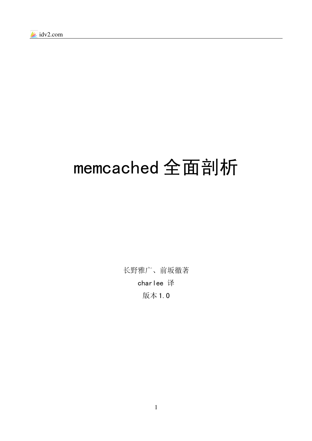# memcached 全面剖析

长野雅广、前坂徹著 charlee 译 版本 1.0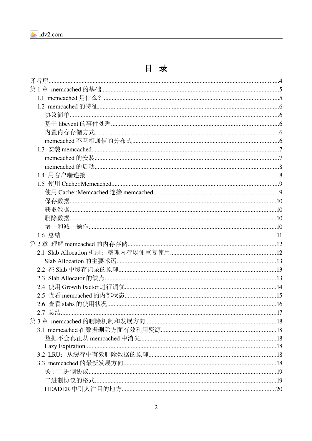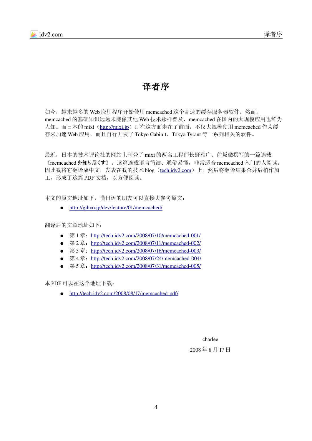

# 译者序

如今,越来越多的 Web 应用程序开始使用 memcached 这个高速的缓存服务器软件。然而, memcached 的基础知识远远未能像其他 Web 技术那样普及, memcached 在国内的大规模应用也鲜为 人知。而日本的 mixi ([http://mixi.jp](http://mixi.jp/)) 则在这方面走在了前面, 不仅大规模使用 memcached 作为缓 存来加速 Web 应用,而且自行开发了 Tokyo Cabinit、Tokyo Tyrant 等一系列相关的软件。

最近,日本的技术评论社的网站上刊登了 mixi 的两名工程师长野雅广、前坂徹撰写的一篇连载 《memcached を知り尽くす》。这篇连载语言简洁、通俗易懂,非常适合 memcached 入门的人阅读。 因此我将它翻译成中文,发表在我的技术 blog ([tech.idv2.com](http://tech.idv2.com/))上。然后将翻译结果合并后稍作加 工,形成了这篇 PDF 文档, 以方便阅读。

本文的原文地址如下,懂日语的朋友可以直接去参考原文:

●  http://gihyo.jp/dev/feature/01/memcached/

翻译后的文章地址如下:

- 第1章: http://tech.idv2.com/2008/07/10/memcached-001/
- 第2章: http://tech.idv2.com/2008/07/11/memcached-002/
- 第 3 章: http://tech.idv2.com/2008/07/16/memcached-003/
- 第 4 章: http://tech.idv2.com/2008/07/24/memcached-004/
- 第 5 章: http://tech.idv2.com/2008/07/31/memcached-005/

本 PDF 可以在这个地址下载:

 $\bullet$  http://tech.idv2.com/2008/08/17/memcached-pdf/

charlee

2008 年 8 月 17 日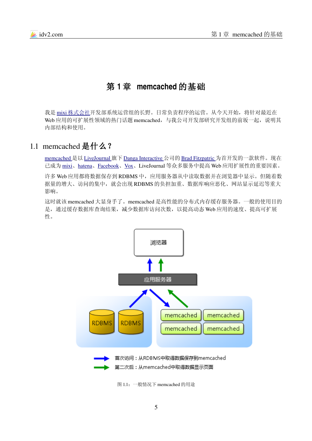

# <span id="page-4-0"></span>第 **1** 章 **memcached** 的基础

我是 mixi 株式会社开发部系统运营组的长野。日常负责程序的运营。从今天开始,将针对最近在 Web 应用的可扩展性领域的热门话题 memcached, 与我公司开发部研究开发组的前坂一起, 说明其 内部结构和使用。

## 1.1 memcached 是什么?

[memcached](http://www.danga.com/memcached/) 是以 [LiveJournal](http://www.livejournal.com/) 旗下 [Danga Interactive](http://www.danga.com/) 公司的 [Brad Fitzpatric](http://www.bradfitz.com/) 为首开发的一款软件。现在 已成为 [mixi](http://mixi.jp/)、[hatena](http://www.hatena.ne.jp/)、[Facebook](http://www.facebook.com/)、[Vox](http://www.vox.com/)、LiveJournal 等众多服务中提高 Web 应用扩展性的重要因素。

许多 Web 应用都将数据保存到 RDBMS 中,应用服务器从中读取数据并在浏览器中显示。但随着数 据量的增大、访问的集中,就会出现 RDBMS 的负担加重、数据库响应恶化、网站显示延迟等重大 影响。

这时就该 memcached 大显身手了。memcached 是高性能的分布式内存缓存服务器。一般的使用目的 是,通过缓存数据库查询结果,减少数据库访问次数,以提高动态 Web 应用的速度、提高可扩展 性。



图 1.1:一般情况下 memcached 的用途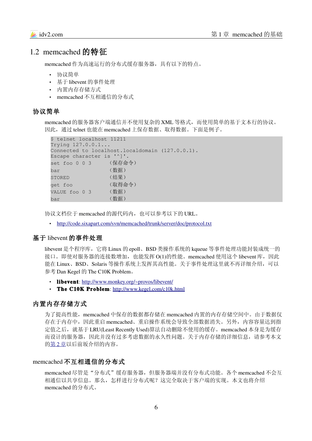## 1.2 memcached 的特征

memcached 作为高速运行的分布式缓存服务器,具有以下的特点。

- 协议简单
- 基于 libevent 的事件处理
- 内置内存存储方式
- memcached 不互相通信的分布式

#### 协议简单

memcached 的服务器客户端通信并不使用复杂的 XML 等格式, 而使用简单的基于文本行的协议。 因此,通过 telnet 也能在 memcached 上保存数据、取得数据。下面是例子。

```
$ telnet localhost 11211
Trying 127.0.0.1...
Connected to localhost.localdomain (127.0.0.1).
Escape character is '^]'.
set foo 0 0 3 (保存命令)
bar (数据)
STORED (结果)
get foo           (取得命令)
VALUE foo 0 3 (数据)
bar         (数据)
```
协议文档位于 memcached 的源代码内,也可以参考以下的 URL。

• <http://code.sixapart.com/svn/memcached/trunk/server/doc/protocol.txt>

#### 基于 libevent 的事件处理

libevent 是个程序库, 它将 Linux 的 epoll、BSD 类操作系统的 kqueue 等事件处理功能封装成统一的 接口。即使对服务器的连接数增加,也能发挥 O(1)的性能。memcached 使用这个 libevent 库,因此 能在 Linux、BSD、Solaris 等操作系统上发挥其高性能。关于事件处理这里就不再详细介绍,可以 参考 Dan Kegel 的 The C10K Problem。

- libevent:<http://www.monkey.org/~provos/libevent/>
- The C10K Problem:<http://www.kegel.com/c10k.html>

#### 内置内存存储方式

为了提高性能, memcached 中保存的数据都存储在 memcached 内置的内存存储空间中。由于数据仅 存在于内存中,因此重启 memcached、重启操作系统会导致全部数据消失。另外,内容容量达到指 定值之后,就基于 LRU(Least Recently Used)算法自动删除不使用的缓存。memcached 本身是为缓存 而设计的服务器,因此并没有过多考虑数据的永久性问题。关于内存存储的详细信息,请参考本文 的 第 2 [章以](#page-11-0)后前坂介绍的内容。

#### memcached 不互相通信的分布式

memcached 尽管是"分布式"缓存服务器,但服务器端并没有分布式功能。各个 memcached 不会互 相通信以共享信息。那么,怎样进行分布式呢?这完全取决于客户端的实现。本文也将介绍 memcached 的分布式。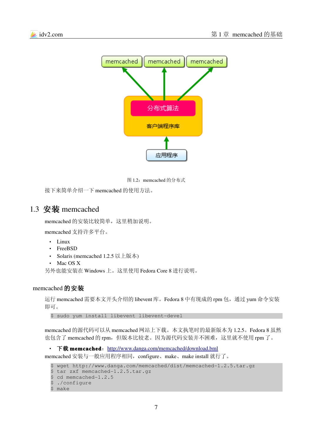

图 1.2: memcached 的分布式

接下来简单介绍一下 memcached 的使用方法。

## 1.3 安装 memcached

memcached 的安装比较简单, 这里稍加说明。

memcached 支持许多平台。

- Linux
- FreeBSD
- Solaris (memcached 1.2.5 以上版本)
- Mac OS X

另外也能安装在 Windows 上。这里使用 Fedora Core 8 进行说明。

#### memcached 的安装

运行 memcached 需要本文开头介绍的 libevent 库。Fedora 8 中有现成的 rpm 包, 通过 yum 命令安装 即可。

\$ sudo yum install libevent libevent-devel

memcached 的源代码可以从 memcached 网站上下载。本文执笔时的最新版本为 1.2.5。Fedora 8 虽然 也包含了 memcached 的 rpm, 但版本比较老。因为源代码安装并不困难, 这里就不使用 rpm 了。

• 下载 memcached: <http://www.danga.com/memcached/download.bml>

memcached 安装与一般应用程序相同, configure、make、make install 就行了。

```
$ wget http://www.danga.com/memcached/dist/memcached-1.2.5.tar.gz
$ tar zxf memcached-1.2.5.tar.gz
$ cd memcached-1.2.5
$ ./configure
$ make
```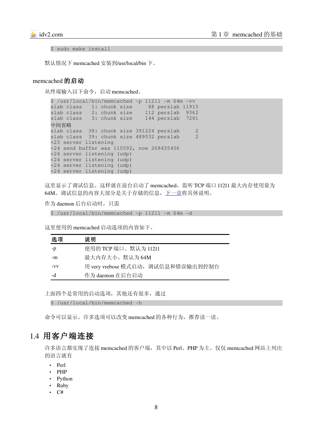```
$ sudo make install
```
默认情况下 memcached 安装到/usr/local/bin 下。

#### memcached 的启动

从终端输入以下命令,启动 memcached。

```
$ /usr/local/bin/memcached -p 11211 -m 64m -vv
slab class 1: chunk size 88 perslab 11915
slab class   2: chunk size    112 perslab  9362<br>slab class   3: chunk size   144 perslab  7281
slab class 3: chunk size
中间省略
slab class  38: chunk size 391224 perslab     2
slab class 39: chunk size 489032 perslab 2
<23 server listening
<24 send buffer was 110592, now 268435456
<24 server listening (udp)
<24 server listening (udp)
<24 server listening (udp)
<24 server listening (udp)
```
这里显示了调试信息。这样就在前台启动了 memcached, 监听 TCP 端口 11211 最大内存使用量为 64M。调试信息的内容大部分是关于存储的信息[,下一章将](file:///home/charlee/memcached.odt#2.%E7%AC%AC2%E7%AB%A0%20%E7%90%86%E8%A7%A3memcached%E7%9A%84%E5%86%85%E5%AD%98%E5%AD%98%E5%82%A8%7Coutline)具体说明。

作为 daemon 后台启动时, 只需

 $$ /usr/local/bin/memcached -p 11211 -m 64m -d$ 

这里使用的 memcached 启动选项的内容如下。

| 选项   | 说明                                 |
|------|------------------------------------|
| -p   | 使用的 TCP 端口。默认为 11211               |
| -m   | 最大内存大小。默认为64M                      |
| $-V$ | 用 very vrebose 模式启动, 调试信息和错误输出到控制台 |
| -d   | 作为 daemon 在后台启动                    |

上面四个是常用的启动选项,其他还有很多,通过

\$ /usr/local/bin/memcached -h

命令可以显示。许多选项可以改变 memcached 的各种行为,推荐读一读。

## 1.4 用客户端连接

许多语言都实现了连接 memcached 的客户端, 其中以 Perl、PHP 为主。仅仅 memcached 网站上列出 的语言就有

- Perl
- PHP
- Python
- Ruby
- C#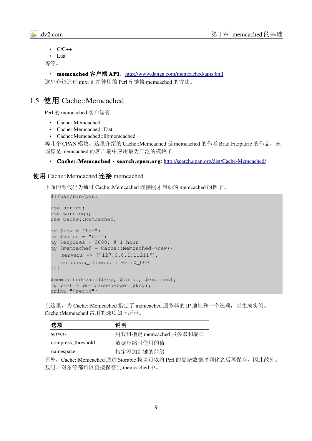

```
\cdot C/C++
• Lua
```
等等。

```
http://www.danga.com/memcached/apis.bml
```
这里介绍通过 mixi 正在使用的 Perl 库链接 memcached 的方法。

## 1.5 使用 Cache::Memcached

Perl 的 memcached 客户端有

- Cache::Memcached
- Cache::Memcached::Fast
- Cache::Memcached::libmemcached

等几个 CPAN 模块。这里介绍的 Cache::Memcached 是 memcached 的作者 Brad Fitzpatric 的作品, 应 该算是 memcached 的客户端中应用最为广泛的模块了。

#### • Cache::Memcached - search.cpan.org: http://search.cpan.org/dist/Cache-Memcached/

#### 使用 Cache::Memcached 连接 memcached

下面的源代码为通过 Cache::Memcached 连接刚才启动的 memcached 的例子。

#!/usr/bin/perl

```
use strict;
use warnings;
use Cache::Memcached;
my $key = "foo";
my $value = "bar";
my $expires = 3600; # 1 hourmy $memcached = Cache::Memcached>new({
   servers => ["127.0.0.1:11211"],
    compress_threshold => 10_000
});
$memcached>add($key, $value, $expires);
my $ret = $memcached>get($key);
print "$ret\n";
```
在这里,为 Cache::Memcached 指定了 memcached 服务器的 IP 地址和一个选项,以生成实例。 Cache::Memcached 常用的选项如下所示。

| 选项                 | 说明                     |
|--------------------|------------------------|
| servers            | 用数组指定 memcached 服务器和端口 |
| compress_threshold | 数据压缩时使用的值              |
| namespace          | 指定添加到键的前缀              |

另外, Cache::Memcached 通过 Storable 模块可以将 Perl 的复杂数据序列化之后再保存, 因此散列、 数组、对象等都可以直接保存到 memcached 中。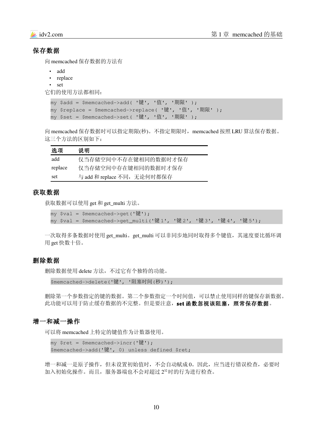#### 保存数据

向 memcached 保存数据的方法有

- add
- replace
- set

它们的使用方法都相同:

my \$add = \$memcached->add( '键', '值', '期限' ); my \$replace = \$memcached->replace( '键', '值', '期限' ); my \$set = \$memcached->set( '键', '值', '期限' );

向 memcached 保存数据时可以指定期限(秒)。不指定期限时, memcached 按照 LRU 算法保存数据。 这三个方法的区别如下:

| 选项      | 说明                         |
|---------|----------------------------|
| add     | 仅当存储空间中不存在键相同的数据时才保存       |
| replace | 仅当存储空间中存在键相同的数据时才保存        |
| set     | 与 add 和 replace 不同,无论何时都保存 |

#### 获取数据

获取数据可以使用 get 和 get\_multi 方法。

 $my$  \$val = \$memcached->qet('键');

my \$val = \$memcached>get\_multi('键 1', '键 2', '键 3', '键 4', '键 5');

一次取得多条数据时使用 get\_multi。get\_multi 可以非同步地同时取得多个键值,其速度要比循环调 用 get 快数十倍。

#### 删除数据

删除数据使用 delete 方法,不过它有个独特的功能。

\$memcached->delete('键', '阻塞时间(秒)');

删除第一个参数指定的键的数据。第二个参数指定一个时间值,可以禁止使用同样的键保存新数据。 此功能可以用于防止缓存数据的不完整。但是要注意,set 函数忽视该阻塞, 照常保存数据。

#### 增一和减一操作

可以将 memcached 上特定的键值作为计数器使用。

```
my $ret = $memcached->incr('键');
$memcached>add('键', 0) unless defined $ret;
```
增一和减一是原子操作,但未设置初始值时,不会自动赋成 0。因此,应当进行错误检查,必要时 加入初始化操作。而且,服务器端也不会对超过232时的行为进行检查。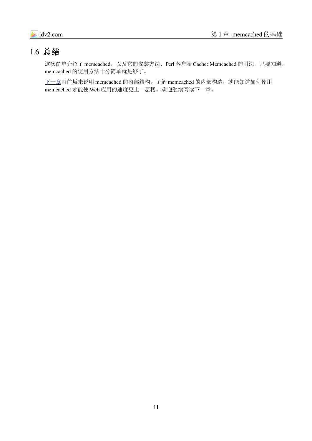# 1.6 总结

这次简单介绍了 memcached,以及它的安装方法、Perl 客户端 Cache::Memcached 的用法。只要知道, memcached 的使用方法十分简单就足够了。

[下一章由](#page-11-0)前坂来说明 memcached 的内部结构。了解 memcached 的内部构造, 就能知道如何使用 memcached 才能使 Web 应用的速度更上一层楼。欢迎继续阅读下一章。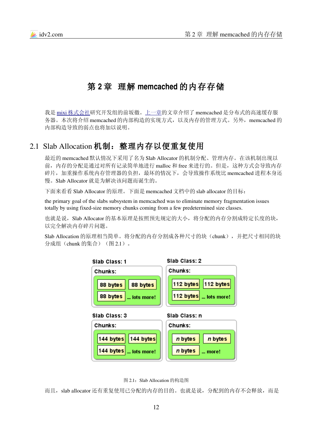

# <span id="page-11-0"></span>第 **2** 章 理解 **memcached** 的内存存储

我是 mixi 株式会社研究开发组的前坂徹[。上一章的](#page-4-0)文章介绍了 memcached 是分布式的高速缓存服 务器。本次将介绍 memcached 的内部构造的实现方式, 以及内存的管理方式。另外, memcached 的 内部构造导致的弱点也将加以说明。

## 2.1 Slab Allocation 机制:整理内存以便重复使用

最近的 memcached 默认情况下采用了名为 Slab Allocator 的机制分配、管理内存。在该机制出现以 前,内存的分配是通过对所有记录简单地进行 malloc 和 free 来进行的。但是,这种方式会导致内存 碎片,加重操作系统内存管理器的负担,最坏的情况下,会导致操作系统比 memcached 进程本身还 慢。Slab Allocator 就是为解决该问题而诞生的。

下面来看看 Slab Allocator 的原理。下面是 memcached 文档中的 slab allocator 的目标:

the primary goal of the slabs subsystem in memcached was to eliminate memory fragmentation issues totally by using fixed-size memory chunks coming from a few predetermined size classes.

也就是说, Slab Allocator 的基本原理是按照预先规定的大小, 将分配的内存分割成特定长度的块, 以完全解决内存碎片问题。

Slab Allocation 的原理相当简单。将分配的内存分割成各种尺寸的块(chunk),并把尺寸相同的块 分成组(chunk 的集合)(图 2.1)。



图 2.1:Slab Allocation 的构造图

而且, slab allocator 还有重复使用已分配的内存的目的。也就是说, 分配到的内存不会释放, 而是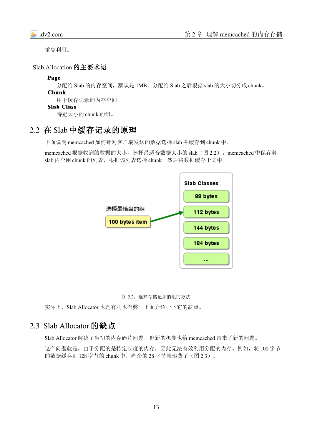重复利用。

Slab Allocation 的主要术语

#### Page

分配给 Slab 的内存空间, 默认是 1MB。分配给 Slab 之后根据 slab 的大小切分成 chunk。

Chunk 用于缓存记录的内存空间。

#### Slab Class

特定大小的 chunk 的组。

## 2.2 在 Slab 中缓存记录的原理

下面说明 memcached 如何针对客户端发送的数据选择 slab 并缓存到 chunk 中。

memcached 根据收到的数据的大小,选择最适合数据大小的 slab(图 2.2)。memcached 中保存着 slab 内空闲 chunk 的列表, 根据该列表选择 chunk, 然后将数据缓存于其中。





实际上, Slab Allocator 也是有利也有弊。下面介绍一下它的缺点。

## 2.3 Slab Allocator 的缺点

Slab Allocator 解决了当初的内存碎片问题,但新的机制也给 memcached 带来了新的问题。

这个问题就是,由于分配的是特定长度的内存,因此无法有效利用分配的内存。例如,将 100 字节 的数据缓存到 128 字节的 chunk 中, 剩余的 28 字节就浪费了(图 2.3)。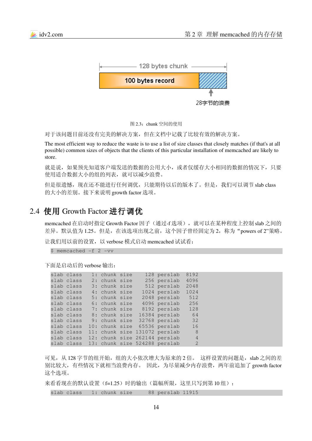

图 2.3: chunk 空间的使用

对于该问题目前还没有完美的解决方案,但在文档中记载了比较有效的解决方案。

The most efficient way to reduce the waste is to use a list of size classes that closely matches (if that's at all possible) common sizes of objects that the clients of this particular installation of memcached are likely to store.

就是说,如果预先知道客户端发送的数据的公用大小,或者仅缓存大小相同的数据的情况下,只要 使用适合数据大小的组的列表,就可以减少浪费。

但是很遗憾,现在还不能进行任何调优,只能期待以后的版本了。但是,我们可以调节 slab class 的大小的差别。接下来说明 growth factor 选项。

## 2.4 使用 Growth Factor 进行调优

memcached 在启动时指定 Growth Factor 因子(通过-f 选项), 就可以在某种程度上控制 slab 之间的 差异。默认值为 1.25。但是, 在该选项出现之前, 这个因子曾经固定为 2, 称为"powers of 2"策略。

让我们用以前的设置,以 verbose 模式启动 memcached 试试看:

 $$$  memcached  $-f$  2 -vv

下面是启动后的 verbose 输出:

| slab class | 1: chunk size  |  | 128 perslab                   | 8192           |
|------------|----------------|--|-------------------------------|----------------|
| slab class | 2: chunk size  |  | 256 perslab                   | 4096           |
| slab class | 3: chunk size  |  | 512 perslab                   | 2048           |
| slab class | 4: chunk size  |  | 1024 perslab                  | 1024           |
| slab class | 5: chunk size  |  | 2048 perslab                  | 512            |
| slab class | 6: chunk size  |  | 4096 perslab                  | 256            |
| slab class | 7: chunk size  |  | 8192 perslab                  | 128            |
| slab class | 8: chunk size  |  | 16384 perslab                 | 64             |
| slab class | 9: chunk size  |  | 32768 perslab                 | 32             |
| slab class | 10: chunk size |  | 65536 perslab                 | 16             |
| slab class | 11: chunk size |  | 131072 perslab                | 8              |
| slab class |                |  | 12: chunk size 262144 perslab | $\overline{4}$ |
| slab class |                |  | 13: chunk size 524288 perslab | $\mathcal{L}$  |

可见, 从 128 字节的组开始, 组的大小依次增大为原来的 2 倍。这样设置的问题是, slab 之间的差 别比较大,有些情况下就相当浪费内存。因此,为尽量减少内存浪费,两年前追加了 growth factor 这个选项。

来看看现在的默认设置(f=1.25)时的输出(篇幅所限,这里只写到第10组):

slab class 1: chunk size 88 perslab 11915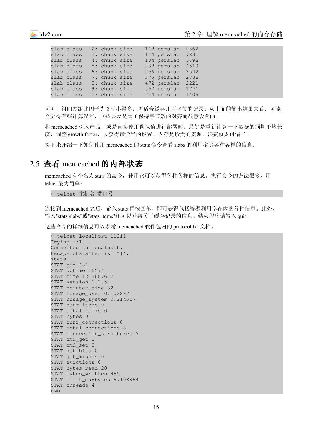|  | slab class                | 2: chunk size |  | 112 perslab 9362 |  |
|--|---------------------------|---------------|--|------------------|--|
|  | slab class 3: chunk size  |               |  | 144 perslab 7281 |  |
|  | slab class 4: chunk size  |               |  | 184 perslab 5698 |  |
|  | slab class                | 5: chunk size |  | 232 perslab 4519 |  |
|  | slab class 6: chunk size  |               |  | 296 perslab 3542 |  |
|  | slab class 7: chunk size  |               |  | 376 perslab 2788 |  |
|  | slab class 8: chunk size  |               |  | 472 perslab 2221 |  |
|  | slab class                | 9: chunk size |  | 592 perslab 1771 |  |
|  | slab class 10: chunk size |               |  | 744 perslab 1409 |  |

可见,组间差距比因子为 2 时小得多,更适合缓存几百字节的记录。从上面的输出结果来看,可能 会觉得有些计算误差,这些误差是为了保持字节数的对齐而故意设置的。

将 memcached 引入产品, 或是直接使用默认值进行部署时, 最好是重新计算一下数据的预期平均长 度, 调整 growth factor, 以获得最恰当的设置。内存是珍贵的资源, 浪费就太可惜了。

接下来介绍一下如何使用 memcached 的 stats 命令查看 slabs 的利用率等各种各样的信息。

## 2.5 查看 memcached 的内部状态

memcached 有个名为 stats 的命令,使用它可以获得各种各样的信息。执行命令的方法很多,用 telnet 最为简单:

\$ telnet 主机名 端口号

连接到 memcached 之后,输入 stats 再按回车,即可获得包括资源利用率在内的各种信息。此外, 输入"stats slabs"或"stats items"还可以获得关于缓存记录的信息。结束程序请输入 quit。

这些命令的详细信息可以参考 memcached 软件包内的 protocol.txt 文档。

```
$ telnet localhost 11211
Trying ::1...
Connected to localhost.
Escape character is '^]'.
stats
STAT pid 481
STAT uptime 16574
STAT time 1213687612
STAT version 1.2.5
STAT pointer_size 32
STAT rusage_user 0.102297
STAT rusage_system 0.214317
STAT curr_items 0
STAT total_items 0
STAT bytes 0
STAT curr_connections 6
STAT total connections 8
STAT connection_structures 7
STAT cmd qet 0
STAT cmd_set 0
STAT get_hits 0
STAT get_misses 0
STAT evictions 0
STAT bytes_read 20
STAT bytes_written 465
STAT limit_maxbytes 67108864
STAT threads 4
END
```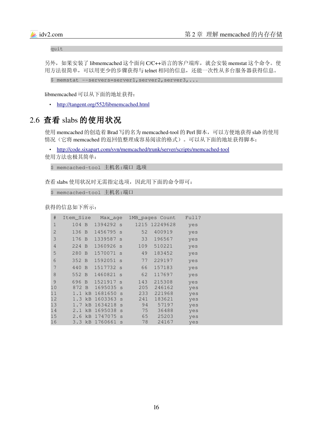quit

另外,如果安装了 libmemcached 这个面向 C/C++语言的客户端库, 就会安装 memstat 这个命令。使 用方法很简单,可以用更少的步骤获得与 telnet 相同的信息,还能一次性从多台服务器获得信息。

```
$ memstat --servers=server1, server2, server3, ...
```
libmemcached 可以从下面的地址获得:

• <http://tangent.org/552/libmemcached.html>

## 2.6 查看 slabs 的使用状况

使用 memcached 的创造着 Brad 写的名为 memcached-tool 的 Perl 脚本, 可以方便地获得 slab 的使用 情况(它将 memcached 的返回值整理成容易阅读的格式)。可以从下面的地址获得脚本:

• http://code.sixapart.com/svn/memcached/trunk/server/scripts/memcached-tool

使用方法也极其简单:

```
$ memcached-tool 主机名:端口 选项
```
查看 slabs 使用状况时无需指定选项,因此用下面的命令即可:

```
$ memcached-tool 主机名:端口
```
获得的信息如下所示:

| #              | Item Size             | Max_age   |              |     | 1MB pages Count | Full? |
|----------------|-----------------------|-----------|--------------|-----|-----------------|-------|
| $\mathbf 1$    | 104 B                 | 1394292 s |              |     | 1215 12249628   | yes   |
| $\mathbf{2}$   | 136 B                 | 1456795 s |              | 52  | 400919          | yes   |
| $\mathfrak{Z}$ | 176 B                 | 1339587 s |              | 33  | 196567          | yes   |
| $\overline{4}$ | 224 B                 | 1360926 s |              | 109 | 510221          | yes   |
| 5              | 280 B                 | 1570071 s |              | 49  | 183452          | yes   |
| 6              | 352 B                 | 1592051 s |              | 77  | 229197          | yes   |
| 7              | 440 B                 | 1517732 s |              | 66  | 157183          | yes   |
| $\,8\,$        | 552 B                 | 1460821 s |              | 62  | 117697          | yes   |
| $\mathfrak{g}$ | 696<br>$\overline{B}$ | 1521917 s |              | 143 | 215308          | yes   |
| 10             | 872 B                 | 1695035   | S.           | 205 | 246162          | yes   |
| 11             | $1.1$ $kB$            | 1681650   | S            | 233 | 221968          | yes   |
| 12             | $1.3$ $kB$            | 1603363   | S.           | 241 | 183621          | yes   |
| 13             | 1.7 kB                | 1634218   | <sub>S</sub> | 94  | 57197           | yes   |
| 14             | 2.1 kB                | 1695038   | S            | 75  | 36488           | yes   |
| 15             | 2.6<br>kB             | 1747075   | S            | 65  | 25203           | yes   |
| 16             | 3.3<br>kB             | 1760661   | S            | 78  | 24167           | yes   |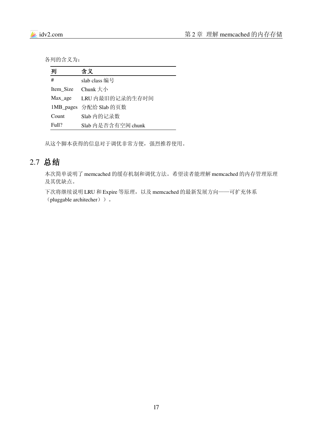各列的含义为:

| 列         | 含义                     |
|-----------|------------------------|
| #         | slab class 编号          |
| Item Size | Chunk 大小               |
| Max_age   | LRU 内最旧的记录的生存时间        |
|           | 1MB_pages 分配给 Slab 的页数 |
| Count     | Slab 内的记录数             |
| Full?     | Slab 内是否含有空闲 chunk     |

从这个脚本获得的信息对于调优非常方便,强烈推荐使用。

# 2.7 总结

本次简单说明了 memcached 的缓存机制和调优方法。希望读者能理解 memcached 的内存管理原理 及其优缺点。

下次将继续说明 LRU 和 Expire 等原理, 以及 memcached 的最新发展方向——可扩充体系 (pluggable architecher))。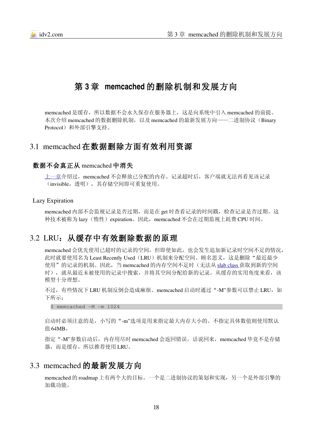

# <span id="page-17-0"></span>第 **3** 章 **memcached** 的删除机制和发展方向

memcached 是缓存,所以数据不会永久保存在服务器上,这是向系统中引入 memcached 的前提。 本次介绍 memcached 的数据删除机制, 以及 memcached 的最新发展方向——二进制协议(Binary Protocol)和外部引擎支持。

## 3.1 memcached 在数据删除方面有效利用资源

#### 数据不会真正从 memcached 中消失

[上一章介](#page-11-0)绍过, memcached 不会释放已分配的内存。记录超时后, 客户端就无法再看见该记录 (invisible,透明),其存储空间即可重复使用。

#### Lazy Expiration

memcached 内部不会监视记录是否过期, 而是在 get 时查看记录的时间戳, 检查记录是否过期。这 种技术被称为 lazy(惰性) expiration。因此, memcached 不会在过期监视上耗费 CPU 时间。

## 3.2 LRU: 从缓存中有效删除数据的原理

memcached 会优先使用已超时的记录的空间,但即使如此,也会发生追加新记录时空间不足的情况, 此时就要使用名为 Least Recently Used (LRU) 机制来分配空间。顾名思义, 这是删除"最近最少 使用"的记录的机制。因此, 当 memcached 的内存空间不足时(无法从 [slab class](#page-11-0) 获取到新的空间 时), 就从最近未被使用的记录中搜索,并将其空间分配给新的记录。从缓存的实用角度来看,该 模型十分理想。

不过,有些情况下 LRU 机制反倒会造成麻烦。memcached 启动时通过"-M"参数可以禁止 LRU, 如 下所示:

 $$$  memcached  $-M$  -m  $1024$ 

启动时必须注意的是,小写的"-m"选项是用来指定最大内存大小的。不指定具体数值则使用默认 值 64MB。

指定"-M"参数启动后,内存用尽时 memcached 会返回错误。话说回来, memcached 毕竟不是存储 器,而是缓存,所以推荐使用 LRU。

## 3.3 memcached 的最新发展方向

memcached 的 roadmap 上有两个大的目标。一个是二进制协议的策划和实现,另一个是外部引擎的 加载功能。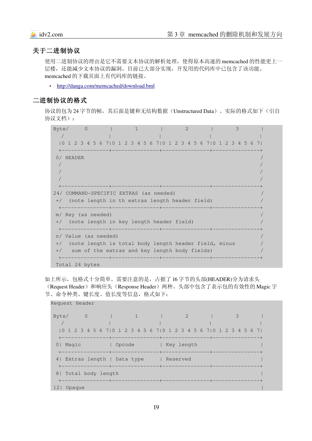#### 关于二进制协议

使用二进制协议的理由是它不需要文本协议的解析处理,使得原本高速的 memcached 的性能更上一 层楼,还能减少文本协议的漏洞。目前已大部分实现,开发用的代码库中已包含了该功能。 memcached 的下载页面上有代码库的链接。

• <http://danga.com/memcached/download.bml>

#### 二进制协议的格式

协议的包为 24 字节的帧, 其后面是键和无结构数据(Unstructured Data)。实际的格式如下(引自 协议文档):

Byte/  $0 \t 1 \t 2 \t 3$  $\sqrt{2}$  ,  $\sqrt{2}$  ,  $\sqrt{2}$  ,  $\sqrt{2}$  ,  $\sqrt{2}$  ,  $\sqrt{2}$  ,  $\sqrt{2}$  ,  $\sqrt{2}$  ,  $\sqrt{2}$  ,  $\sqrt{2}$  ,  $\sqrt{2}$  ,  $\sqrt{2}$  ,  $\sqrt{2}$  ,  $\sqrt{2}$  ,  $\sqrt{2}$  ,  $\sqrt{2}$  ,  $\sqrt{2}$  ,  $\sqrt{2}$  ,  $\sqrt{2}$  ,  $\sqrt{2}$  ,  $\sqrt{2}$  ,  $\sqrt{2}$  , |0 1 2 3 4 5 6 7|0 1 2 3 4 5 6 7|0 1 2 3 4 5 6 7|0 1 2 3 4 5 6 7| +++++  $0/$  HEADER  $\sqrt{2}$  , the contract of the contract of the contract of the contract of the contract of the contract of the contract of the contract of the contract of the contract of the contract of the contract of the contract of the  $\sqrt{2}$  , the contract of the contract of the contract of the contract of the contract of the contract of the contract of the contract of the contract of the contract of the contract of the contract of the contract of the  $\sqrt{2}$  , the contract of the contract of the contract of the contract of the contract of the contract of the contract of the contract of the contract of the contract of the contract of the contract of the contract of the +++++ 24/ COMMAND-SPECIFIC EXTRAS (as needed)  $+$ / (note length in th extras length header field) +++++ m/ Key (as needed)  $+$ / (note length in key length header field) +++++ n/ Value (as needed) +/ (note length is total body length header field, minus +/ sum of the extras and key length body fields) / +++++ Total 24 bytes

如上所示,包格式十分简单。需要注意的是,占据了 16 字节的头部(HEADER)分为请求头 (Request Header) 和响应头(Response Header) 两种。头部中包含了表示包的有效性的 Magic 字 节、命令种类、键长度、值长度等信息, 格式如下:

Request Header

Byte/ 0 | 1 | 2 | 3  $\sqrt{2}$  , and  $\sqrt{2}$  , and  $\sqrt{2}$  , and  $\sqrt{2}$  , and  $\sqrt{2}$  , and  $\sqrt{2}$  , and  $\sqrt{2}$  |0 1 2 3 4 5 6 7|0 1 2 3 4 5 6 7|0 1 2 3 4 5 6 7|0 1 2 3 4 5 6 7| +++++ 0| Magic | Opcode | Key length +++++ 4| Extras length | Data type | Reserved +++++ 8| Total body length +++++  $12|$  Opaque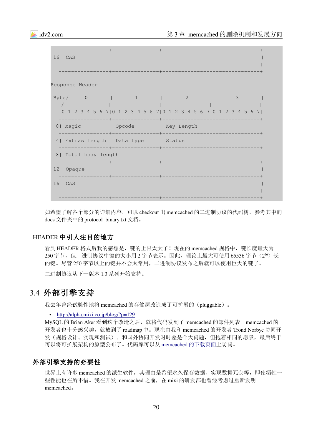

如希望了解各个部分的详细内容,可以 checkout 出 memcached 的二进制协议的代码树,参考其中的 docs 文件夹中的 protocol\_binary.txt 文档。

#### HEADER 中引人注目的地方

看到 HEADER 格式后我的感想是,键的上限太大了!现在的 memcached 规格中,键长度最大为 250 字节,但二进制协议中键的大小用 2 字节表示。因此,理论上最大可使用 65536 字节 (216) 长 的键。尽管 250 字节以上的键并不会太常用,二进制协议发布之后就可以使用巨大的键了。

二进制协议从下一版本 1.3 系列开始支持。

## 3.4 外部引擎支持

我去年曾经试验性地将 memcached 的存储层改造成了可扩展的(pluggable)。

#### • http://alpha.mixi.co.jp/blog/?p=129

MySQL 的 Brian Aker 看到这个改造之后,就将代码发到了 memcached 的邮件列表。memcached 的 开发者也十分感兴趣,就放到了 roadmap 中。现在由我和 memcached 的开发者 Trond Norbye 协同开 发(规格设计、实现和测试)。和国外协同开发时时差是个大问题,但抱着相同的愿景,最后终于 可以将可扩展架构的原型公布了。代码库可以从 memcached 的下载页面上访问。

#### 外部引擎支持的必要性

世界上有许多 memcached 的派生软件,其理由是希望永久保存数据、实现数据冗余等,即使牺牲一 些性能也在所不惜。我在开发 memcached 之前, 在 mixi 的研发部也曾经考虑过重新发明 memcached。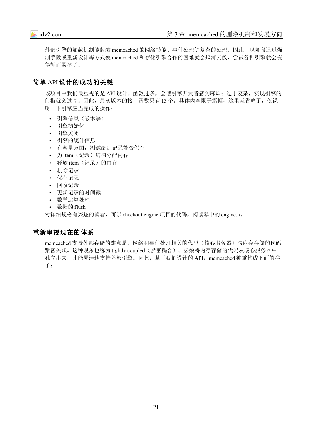外部引擎的加载机制能封装 memcached 的网络功能、事件处理等复杂的处理。因此, 现阶段通过强 制手段或重新设计等方式使 memcached 和存储引擎合作的困难就会烟消云散,尝试各种引擎就会变 得轻而易举了。

## 简单 API 设计的成功的关键

该项目中我们最重视的是 API 设计。函数过多,会使引擎开发者感到麻烦;过于复杂,实现引擎的 门槛就会过高。因此,最初版本的接口函数只有 13 个。具体内容限于篇幅,这里就省略了,仅说 明一下引擎应当完成的操作:

- 引擎信息(版本等)
- 引擎初始化
- 引擎关闭
- 引擎的统计信息
- 在容量方面,测试给定记录能否保存
- 为 item (记录) 结构分配内存
- 释放 item (记录)的内存
- 删除记录
- 保存记录
- 回收记录
- 更新记录的时间戳
- 数学运算处理
- 数据的 flush

对详细规格有兴趣的读者,可以 checkout engine 项目的代码,阅读器中的 engine.h。

#### 重新审视现在的体系

memcached 支持外部存储的难点是, 网络和事件处理相关的代码(核心服务器)与内存存储的代码 紧密关联。这种现象也称为 tightly coupled(紧密耦合)。必须将内存存储的代码从核心服务器中 独立出来,才能灵活地支持外部引擎。因此,基于我们设计的 API, memcached 被重构成下面的样 子: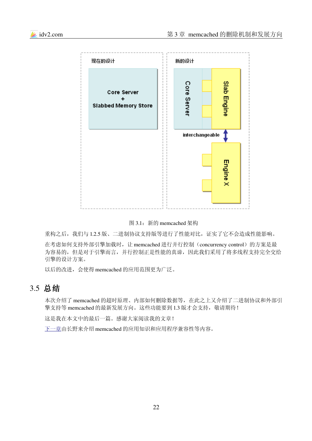



图 3.1:新的 memcached 架构

重构之后,我们与 1.2.5 版、二进制协议支持版等进行了性能对比,证实了它不会造成性能影响。

在考虑如何支持外部引擎加载时,让 memcached 进行并行控制(concurrency control)的方案是最 为容易的,但是对于引擎而言,并行控制正是性能的真谛,因此我们采用了将多线程支持完全交给 引擎的设计方案。

以后的改进,会使得 memcached 的应用范围更为广泛。

## 3.5 总结

本次介绍了 memcached 的超时原理、内部如何删除数据等,在此之上又介绍了二进制协议和外部引 擎支持等 memcached 的最新发展方向。这些功能要到1.3 版才会支持, 敬请期待!

这是我在本文中的最后一篇。感谢大家阅读我的文章!

[下一章由](#page-22-0)长野来介绍 memcached 的应用知识和应用程序兼容性等内容。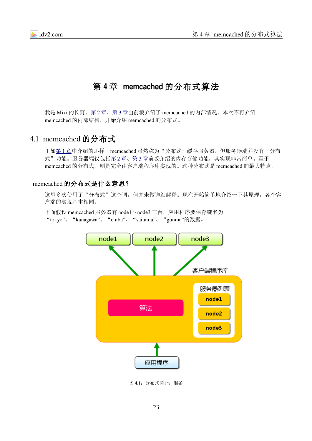

# <span id="page-22-0"></span>第 **4** 章 **memcached** 的分布式算法

我是 Mixi 的长野。 第 2 [章、](#page-11-0) 第 3 [章由](#page-17-0)前坂介绍了 memcached 的内部情况。本次不再介绍 memcached 的内部结构,开始介绍 memcached 的分布式。

## 4.1 memcached 的分布式

正如第1章中介绍的那样, memcached 虽然称为"分布式"缓存服务器, 但服务器端并没有"分布 式"功能。服务器端仅包括第2章、第3章前坂介绍的内存存储功能,其实现非常简单。至于 memcached 的分布式,则是完全由客户端程序库实现的。这种分布式是 memcached 的最大特点。

#### memcached 的分布式是什么意思?

这里多次使用了"分布式"这个词,但并未做详细解释。现在开始简单地介绍一下其原理,各个客 户端的实现基本相同。

下面假设 memcached 服务器有 node1~node3 三台, 应用程序要保存键名为 "tokyo"、"kanagawa"、"chiba"、"saitama"、"gunma"的数据。



图 4.1:分布式简介:准备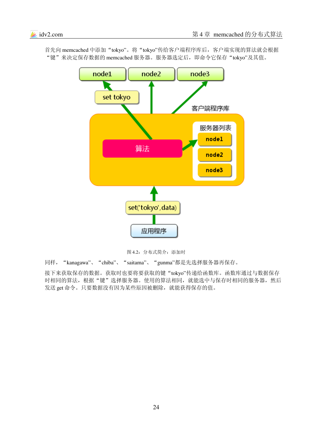

首先向 memcached 中添加"tokyo"。将"tokyo"传给客户端程序库后,客户端实现的算法就会根据 "键"来决定保存数据的 memcached 服务器。服务器选定后, 即命令它保存"tokyo"及其值。

图 4.2:分布式简介:添加时

同样,"kanagawa"、"chiba"、"saitama"、"gunma"都是先选择服务器再保存。

接下来获取保存的数据。获取时也要将要获取的键"tokyo"传递给函数库。函数库通过与数据保存 时相同的算法,根据"键"选择服务器。使用的算法相同,就能选中与保存时相同的服务器,然后 发送 get 命令。只要数据没有因为某些原因被删除,就能获得保存的值。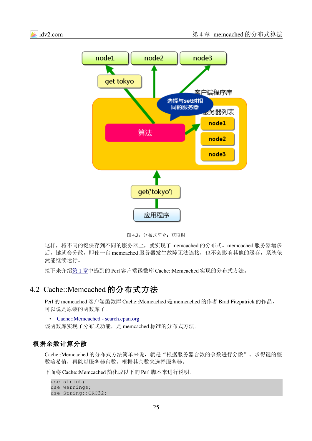

图 4.3: 分布式简介: 获取时

这样,将不同的键保存到不同的服务器上,就实现了 memcached 的分布式。memcached 服务器增多 后,键就会分散,即使一台 memcached 服务器发生故障无法连接,也不会影响其他的缓存,系统依 然能继续运行。

接下来介绍 第 1 [章中](#page-4-0)提到的 Perl 客户端函数库 Cache::Memcached 实现的分布式方法。

## 4.2 Cache::Memcached 的分布式方法

Perl 的 memcached 客户端函数库 Cache::Memcached 是 memcached 的作者 Brad Fitzpatrick 的作品, 可以说是原装的函数库了。

• Cache::Memcached - search.cpan.org

该函数库实现了分布式功能,是 memcached 标准的分布式方法。

#### 根据余数计算分散

Cache::Memcached 的分布式方法简单来说,就是"根据服务器台数的余数进行分散"。求得键的整 数哈希值,再除以服务器台数,根据其余数来选择服务器。

下面将 Cache::Memcached 简化成以下的 Perl 脚本来进行说明。

```
use strict;
use warnings;
use String::CRC32;
```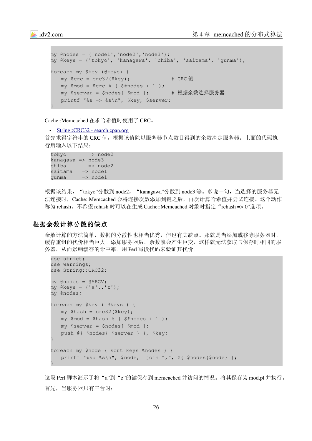```
my @nodes = ('node1','node2','node3');
my @keys = ('tokyo', 'kanagawa', 'chiba', 'saitama', 'gunma');
foreach my $key (@keys) {
   my \text{Serc} = \text{crc32}(\text{Skey}); \qquad \qquad \text{RCC} (i)
   my $mod = $crc \; $ ($#nodes + 1);
    my $server = $nodes[ $mod ];       # 根据余数选择服务器
    printf "%s => %s\n", $key, $server;
}
```
Cache::Memcached 在求哈希值时使用了 CRC。

• String::CRC32 - search.cpan.org

首先求得字符串的 CRC 值,根据该值除以服务器节点数目得到的余数决定服务器。上面的代码执 行后输入以下结果:

 $tokvo$  =>  $node2$  $k$ anagawa => node3  $chiba \implies node2$  $saitama$  =>  $node1$ gunma => node1

根据该结果, "tokyo"分散到 node2, "kanagawa"分散到 node3 等。多说一句, 当选择的服务器无 法连接时,Cache::Memcached 会将连接次数添加到键之后,再次计算哈希值并尝试连接。这个动作 称为 rehash。不希望 rehash 时可以在生成 Cache::Memcached 对象时指定"rehash => 0"选项。

#### 根据余数计算分散的缺点

余数计算的方法简单,数据的分散性也相当优秀,但也有其缺点。那就是当添加或移除服务器时, 缓存重组的代价相当巨大。添加服务器后,余数就会产生巨变,这样就无法获取与保存时相同的服 务器,从而影响缓存的命中率。用 Perl 写段代码来验证其代价。

```
use strict;
use warnings;
use String::CRC32;
my @nodes = @ARGV;
my @keys = ('a'..'z');my %nodes;
foreach my $key ( @keys ) {
    my $hash = crc32($key);
   my $mod = $hash $ ( $#nodes + 1 );
    my $server = $nodes[ $mod ];
    push @{ $nodes{ $server } }, $key;
}
foreach my $node ( sort keys %nodes ) {
    printf "%s: %s\n", $node,  join ",", @{ $nodes{$node} };
}
```
这段 Perl 脚本演示了将"a"到"z"的键保存到 memcached 并访问的情况。将其保存为 mod.pl 并执行。 首先,当服务器只有三台时: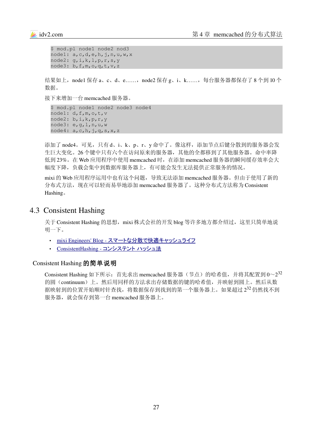```
$ mod.pl node1 node2 nod3
node1: a,c,d,e,h,j,n,u,w,x
node2: g,i,k,l,p,r,s,y
node3: b,f,m,o,q,t,v,z
```
结果如上,node1 保存 a、c、d、e……,node2 保存 g、i、k……,每台服务器都保存了 8 个到 10 个 数据。

接下来增加一台 memcached 服务器。

```
$ mod.pl node1 node2 node3 node4
node1: d,f,m,o,t,v
node2: b,i,k,p,r,y
node3: e, q, 1, n, u, wnode4: a, c, h, j, q, s, x, z
```
添加了 node4。可见,只有d、i、k、p、r、y 命中了。像这样,添加节点后键分散到的服务器会发 生巨大变化。26 个键中只有六个在访问原来的服务器,其他的全都移到了其他服务器。命中率降 低到 23%。在 Web 应用程序中使用 memcached 时, 在添加 memcached 服务器的瞬间缓存效率会大 幅度下降,负载会集中到数据库服务器上,有可能会发生无法提供正常服务的情况。

mixi 的 Web 应用程序运用中也有这个问题,导致无法添加 memcached 服务器。但由于使用了新的 分布式方法,现在可以轻而易举地添加 memcached 服务器了。这种分布式方法称为 Consistent Hashing。

#### 4.3 Consistent Hashing

关于 Consistent Hashing 的思想, mixi 株式会社的开发 blog 等许多地方都介绍过, 这里只简单地说 明一下。

- mixi Engineers' Blog スマートな分散で快適キャッシュライフ
- ConsistentHashing コンシステント ハッシュ法

#### Consistent Hashing 的简单说明

Consistent Hashing 如下所示:首先求出 memcached 服务器(节点)的哈希值,并将其配置到  $0{\sim}2^{32}$ 的圆(continuum)上。然后用同样的方法求出存储数据的键的哈希值,并映射到圆上。然后从数 据映射到的位置开始顺时针查找,将数据保存到找到的第一个服务器上。如果超过2<sup>32</sup>仍然找不到 服务器, 就会保存到第一台 memcached 服务器上。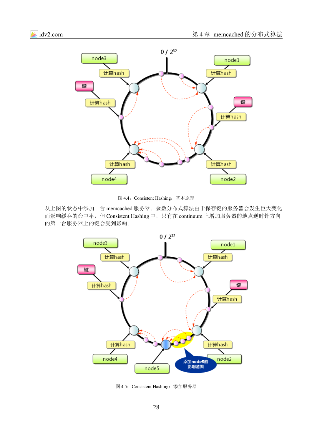

图 4.4:Consistent Hashing:基本原理

从上图的状态中添加一台 memcached 服务器。余数分布式算法由于保存键的服务器会发生巨大变化 而影响缓存的命中率,但 Consistent Hashing 中, 只有在 continuum 上增加服务器的地点逆时针方向 的第一台服务器上的键会受到影响。



图 4.5:Consistent Hashing:添加服务器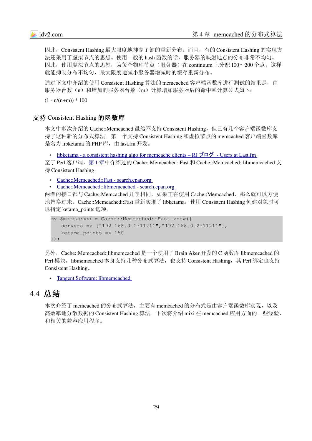因此,Consistent Hashing 最大限度地抑制了键的重新分布。而且,有的 Consistent Hashing 的实现方 法还采用了虚拟节点的思想。使用一般的 hash 函数的话,服务器的映射地点的分布非常不均匀。 因此, 使用虚拟节点的思想, 为每个物理节点(服务器) 在 continuum 上分配 100~200 个点。这样 就能抑制分布不均匀,最大限度地减小服务器增减时的缓存重新分布。

通过下文中介绍的使用 Consistent Hashing 算法的 memcached 客户端函数库进行测试的结果是, 由 服务器台数(n)和增加的服务器台数(m)计算增加服务器后的命中率计算公式如下:

 $(1 - n/(n+m)) * 100$ 

#### 支持 Consistent Hashing 的函数库

本文中多次介绍的 Cache::Memcached 虽然不支持 Consistent Hashing, 但已有几个客户端函数库支 持了这种新的分布式算法。第一个支持 Consistent Hashing 和虚拟节点的 memcached 客户端函数库 是名为 libketama 的 PHP 库, 由 last.fm 开发。

libketama - a consistent hashing algo for memcache clients – RJ  $\vec{U} \Box \vec{U}$  - Users at Last.fm

至于 Perl 客户端[, 第](#page-4-0)1章中介绍过的 Cache::Memcached::Fast 和 Cache::Memcached::libmemcached 支 持 Consistent Hashing。

Cache::Memcached::Fast - search.cpan.org

• Cache::Memcached::libmemcached - search.cpan.org

两者的接口都与 Cache::Memcached 几乎相同, 如果正在使用 Cache::Memcached, 那么就可以方便 地替换过来。Cache::Memcached::Fast 重新实现了 libketama,使用 Consistent Hashing 创建对象时可 以指定 ketama\_points 选项。

```
my $memcached = Cache::Memcached::Fast>new({
    servers => ["192.168.0.1:11211","192.168.0.2:11211"],
    ketama_points => 150
});
```
另外, Cache::Memcached::libmemcached 是一个使用了 Brain Aker 开发的 C 函数库 libmemcached 的 Perl 模块。libmemcached 本身支持几种分布式算法,也支持 Consistent Hashing, 其 Perl 绑定也支持 Consistent Hashing。

• Tangent Software: libmemcached

## 4.4 总结

本次介绍了 memcached 的分布式算法,主要有 memcached 的分布式是由客户端函数库实现, 以及 高效率地分散数据的 Consistent Hashing 算法。下次将介绍 mixi 在 memcached 应用方面的一些经验, 和相关的兼容应用程序。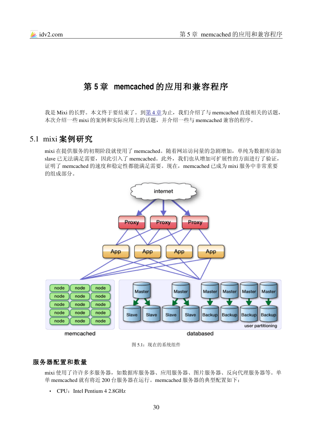

# 第 **5** 章 **memcached** 的应用和兼容程序

我是 Mixi 的长野。本文终于要结束了。到第4章为止,我们介绍了与 memcached 直接相关的话题, 本次介绍一些 mixi 的案例和实际应用上的话题,并介绍一些与 memcached 兼容的程序。

## 5.1 mixi 案例研究

mixi 在提供服务的初期阶段就使用了 memcached。随着网站访问量的急剧增加,单纯为数据库添加 slave 已无法满足需要,因此引入了 memcached。此外,我们也从增加可扩展性的方面进行了验证, 证明了 memcached 的速度和稳定性都能满足需要。现在,memcached 已成为 mixi 服务中非常重要 的组成部分。



图 5.1:现在的系统组件

#### 服务器配置和数量

mixi 使用了许许多多服务器,如数据库服务器、应用服务器、图片服务器、反向代理服务器等。单 单 memcached 就有将近 200 台服务器在运行。memcached 服务器的典型配置如下:

• CPU: Intel Pentium 4 2.8GHz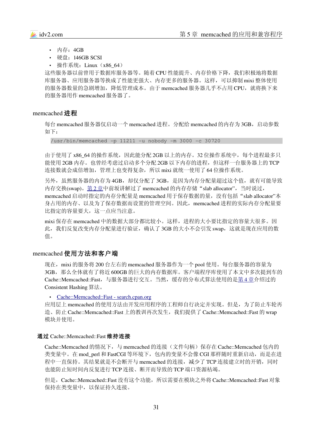- 内存:4GB
- 硬盘: 146GB SCSI
- 操作系统: Linux (x86 64)

这些服务器以前曾用于数据库服务器等。随着 CPU 性能提升、内存价格下降, 我们积极地将数据 库服务器、应用服务器等换成了性能更强大、内存更多的服务器。这样,可以抑制 mixi 整体使用 的服务器数量的急剧增加,降低管理成本。由于 memcached 服务器几乎不占用 CPU, 就将换下来 的服务器用作 memcached 服务器了。

#### memcached 进程

每台 memcached 服务器仅启动一个 memcached 进程。分配给 memcached 的内存为 3GB, 启动参数 如下:

 $/usr/bin/memcached -p 11211 -u nobody -m 3000 -c 30720$ 

由于使用了 x86\_64 的操作系统,因此能分配 2GB 以上的内存。32 位操作系统中,每个进程最多只 能使用 2GB 内存。也曾经考虑过启动多个分配 2GB 以下内存的进程,但这样一台服务器上的 TCP 连接数就会成倍增加,管理上也变得复杂,所以 mixi 就统一使用了 64 位操作系统。

另外,虽然服务器的内存为 4GB, 却仅分配了 3GB, 是因为内存分配量超过这个值, 就有可能导致 内存交换(swap)。第2章中前坂讲解过了 memcached 的内存存储 "slab allocator", 当时说过, memcached 启动时指定的内存分配量是 memcached 用于保存数据的量,没有包括"slab allocator"本 身占用的内存、以及为了保存数据而设置的管理空间。因此,memcached 进程的实际内存分配量要 比指定的容量要大,这一点应当注意。

mixi 保存在 memcached 中的数据大部分都比较小。这样,进程的大小要比指定的容量大很多。因 此,我们反复改变内存分配量进行验证,确认了 3GB 的大小不会引发 swap,这就是现在应用的数 值。

#### memcached 使用方法和客户端

现在, mixi 的服务将 200 台左右的 memcached 服务器作为一个 pool 使用。每台服务器的容量为 3GB, 那么全体就有了将近 600GB 的巨大的内存数据库。客户端程序库使用了本文中多次提到车的 Cache::Memcached::Fast,与服务器进行交互。当然,缓存的分布式算法使用的是 第 4 [章介](#page-22-0)绍过的 Consistent Hashing 算法。

• Cache::Memcached::Fast - search.cpan.org

应用层上 memcached 的使用方法由开发应用程序的工程师自行决定并实现。但是, 为了防止车轮再 造、防止 Cache::Memcached::Fast 上的教训再次发生,我们提供了 Cache::Memcached::Fast 的 wrap 模块并使用。

#### 通过 Cache::Memcached::Fast 维持连接

Cache::Memcached 的情况下,与 memcached 的连接(文件句柄)保存在 Cache::Memcached 包内的 类变量中。在 mod\_perl 和 FastCGI 等环境下, 包内的变量不会像 CGI 那样随时重新启动, 而是在进 程中一直保持。其结果就是不会断开与 memcached 的连接, 减少了 TCP 连接建立时的开销, 同时 也能防止短时间内反复进行 TCP 连接、断开而导致的 TCP 端口资源枯竭。

但是, Cache::Memcached::Fast 没有这个功能, 所以需要在模块之外将 Cache::Memcached::Fast 对象 保持在类变量中,以保证持久连接。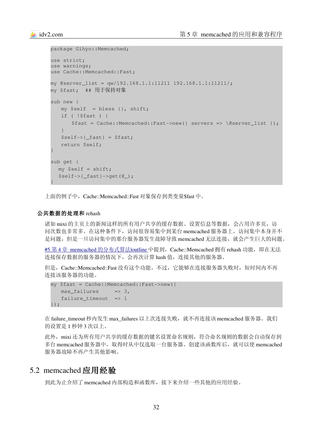```
package Gihyo::Memcached;
use strict;
use warnings;
use Cache::Memcached::Fast;
my @server_list = qw/192.168.1.1:11211 192.168.1.1:11211/;
my $fast;  ## 用于保持对象
sub new {
    my $self  = bless {}, shift;
    if ( !$fast ) {
       $fast = Cache::Memcached::Fast>new({ servers => \@server_list });
    }
   $self->{fast} = $fast; return $self;
}
sub get {
   my $self = shift;
  $self->{ fast}-\geq$et(\@);
}
```
上面的例子中,Cache::Memcached::Fast 对象保存到类变量\$fast 中。

#### 公共数据的处理和 rehash

诸如 mixi 的主页上的新闻这样的所有用户共享的缓存数据、设置信息等数据,会占用许多页, 访 问次数也非常多。在这种条件下,访问很容易集中到某台 memcached 服务器上。访问集中本身并不 是问题, 但是一旦访问集中的那台服务器发生故障导致 memcached 无法连接, 就会产生巨大的问题。

#5.第4章 memcached 的分布式算法 loutline 中提到,Cache::Memcached 拥有 rehash 功能,即在无法 连接保存数据的服务器的情况下,会再次计算 hash 值, 连接其他的服务器。

但是, Cache::Memcached::Fast 没有这个功能。不过, 它能够在连接服务器失败时, 短时间内不再 连接该服务器的功能。

```
my $fast = Cache::Memcached::Fast>new({
   max failures \qquad \Rightarrow 3,
   failure timeout \Rightarrow 1
});
```
在 failure\_timeout 秒内发生 max\_failures 以上次连接失败, 就不再连接该 memcached 服务器。我们 的设置是 1 秒钟 3 次以上。

此外, mixi 还为所有用户共享的缓存数据的键名设置命名规则, 符合命名规则的数据会自动保存到 多台 memcached 服务器中, 取得时从中仅选取一台服务器。创建该函数库后, 就可以使 memcached 服务器故障不再产生其他影响。

# 5.2 memcached 应用经验

到此为止介绍了 memcached 内部构造和函数库,接下来介绍一些其他的应用经验。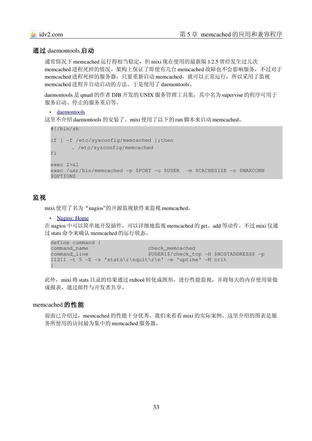#### 通过 daemontools 启动

通常情况下 memcached 运行得相当稳定,但 mixi 现在使用的最新版 1.2.5 曾经发生过几次 memcached 进程死掉的情况。架构上保证了即使有几台 memcached 故障也不会影响服务,不过对于 memcached 进程死掉的服务器,只要重新启动 memcached, 就可以正常运行, 所以采用了监视 memcached 进程并自动启动的方法。于是使用了 daemontools。

daemontools 是 qmail 的作者 DJB 开发的 UNIX 服务管理工具集,其中名为 supervise 的程序可用于 服务启动、停止的服务重启等。

• daemontools

这里不介绍 daemontools 的安装了。mixi 使用了以下的 run 脚本来启动 memcached。

```
#!/bin/sh
if [ -f /etc/sysconfig/memcached ]; then
        . /etc/sysconfig/memcached
fi
exec 2>&1
exec /usr/bin/memcached -p $PORT -u $USER -m $CACHESIZE -c $MAXCONN
$OPTIONS
```
#### 监视

mixi 使用了名为"nagios"的开源监视软件来监视 memcached。

```
• Nagios: Home
```
在 nagios 中可以简单地开发插件,可以详细地监视 memcached 的 get、add 等动作。不过 mixi 仅通 过 stats 命令来确认 memcached 的运行状态。

```
define command {
command_name                   check_memcached
command_line                   $USER1$/check_tcp H $HOSTADDRESS$ p
11211 -t 5 -E -s 'stats\r\nquit\r\n' -e 'uptime' -M crit
}
```
此外, mixi 将 stats 目录的结果通过 rrdtool 转化成图形, 进行性能监视, 并将每天的内存使用量做 成报表,通过邮件与开发者共享。

#### memcached 的性能

前面已介绍过,memcached 的性能十分优秀。我们来看看 mixi 的实际案例。这里介绍的图表是服 务所使用的访问最为集中的 memcached 服务器。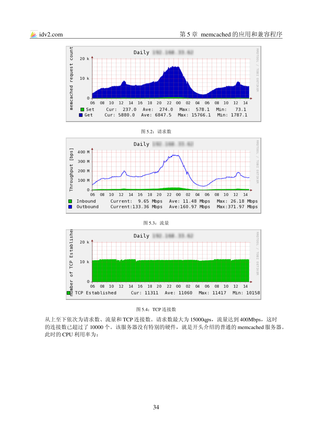





#### 图 5.3:流量



#### 图 5.4:TCP 连接数

从上至下依次为请求数、流量和 TCP 连接数。请求数最大为 15000qps, 流量达到 400Mbps, 这时 的连接数已超过了10000个。该服务器没有特别的硬件,就是开头介绍的普通的 memcached 服务器。 此时的 CPU 利用率为: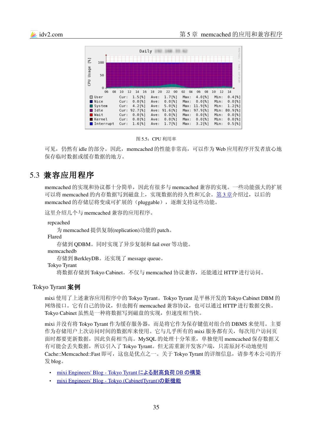



图 5.5:CPU 利用率

可见,仍然有 idle 的部分。因此, memcached 的性能非常高, 可以作为 Web 应用程序开发者放心地 保存临时数据或缓存数据的地方。

## 5.3 兼容应用程序

memcached 的实现和协议都十分简单,因此有很多与 memcached 兼容的实现。一些功能强大的扩展 可以将 memcached 的内存数据写到磁盘上, 实现数据的持久性和冗余。第3 [章介](#page-17-0)绍过, 以后的 memcached 的存储层将变成可扩展的(pluggable),逐渐支持这些功能。

```
这里介绍几个与 memcached 兼容的应用程序。
```
repcached

为 memcached 提供复制(replication)功能的 patch。

Flared

存储到 QDBM。同时实现了异步复制和 fail over 等功能。

memcachedb

存储到 BerkleyDB。还实现了 message queue。

Tokyo Tyrant

将数据存储到 Tokyo Cabinet。不仅与 memcached 协议兼容,还能通过 HTTP 进行访问。

#### Tokyo Tyrant 案例

mixi 使用了上述兼容应用程序中的 Tokyo Tyrant。Tokyo Tyrant 是平林开发的 Tokyo Cabinet DBM 的 网络接口。它有自己的协议,但也拥有 memcached 兼容协议,也可以通过 HTTP 进行数据交换。 Tokyo Cabinet 虽然是一种将数据写到磁盘的实现,但速度相当快。

mixi 并没有将 Tokyo Tyrant 作为缓存服务器, 而是将它作为保存键值对组合的 DBMS 来使用。主要 作为存储用户上次访问时间的数据库来使用。它与几乎所有的 mixi 服务都有关, 每次用户访问页 面时都要更新数据,因此负荷相当高。MySQL 的处理十分笨重,单独使用 memcached 保存数据又 有可能会丢失数据,所以引入了 Tokyo Tyrant。但无需重新开发客户端,只需原封不动地使用 Cache::Memcached::Fast 即可,这也是优点之一。关于 Tokyo Tyrant 的详细信息,请参考本公司的开 发 blog。

- mixi Engineers' Blog Tokyo Tyrant による耐高負荷 DB の構築
- mixi Engineers' Blog Tokyo (Cabinet Tyrant)の新機能